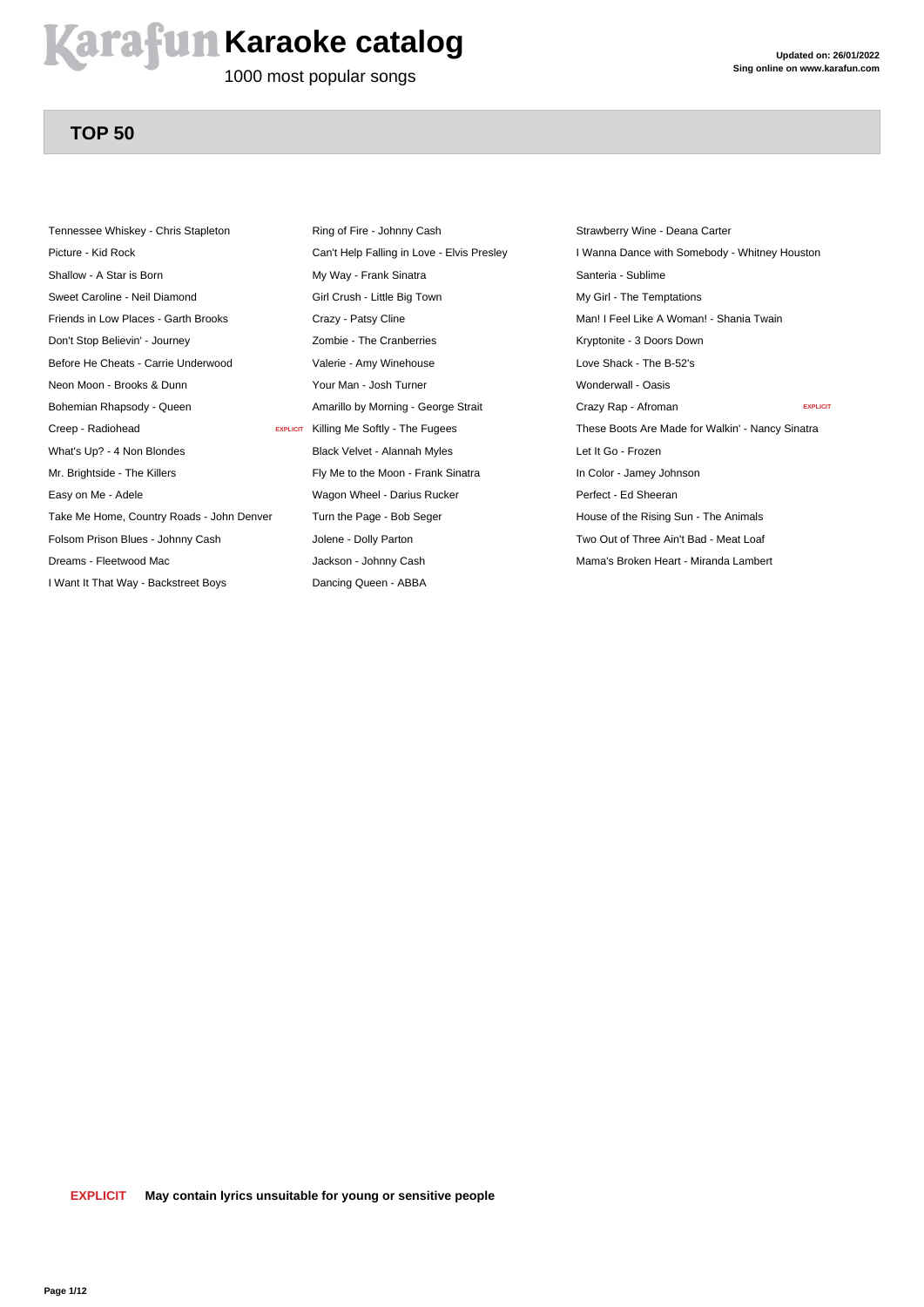#### **Arafun Karaoke catalog**

1000 most popular songs

#### **TOP 50**

Tennessee Whiskey - Chris Stapleton Picture - Kid Rock Shallow - A Star is Born Sweet Caroline - Neil Diamond Friends in Low Places - Garth Brooks Don't Stop Believin' - Journey Before He Cheats - Carrie Underwood Neon Moon - Brooks & Dunn Bohemian Rhapsody - Queen Creep - Radiohead What's Up? - 4 Non Blondes Mr. Brightside - The Killers Easy on Me - Adele Take Me Home, Country Roads - John Denver Folsom Prison Blues - Johnny Cash Dreams - Fleetwood Mac I Want It That Way - Backstreet Boys

Ring of Fire - Johnny Cash Can't Help Falling in Love - Elvis Presley My Way - Frank Sinatra Girl Crush - Little Big Town Crazy - Patsy Cline Zombie - The Cranberries Valerie - Amy Winehouse Your Man - Josh Turner Amarillo by Morning - George Strait EXPLICIT Killing Me Softly - The Fugees Black Velvet - Alannah Myles Fly Me to the Moon - Frank Sinatra Wagon Wheel - Darius Rucker Turn the Page - Bob Seger Jolene - Dolly Parton Jackson - Johnny Cash Dancing Queen - ABBA

Strawberry Wine - Deana Carter I Wanna Dance with Somebody - Whitney Houston Santeria - Sublime My Girl - The Temptations Man! I Feel Like A Woman! - Shania Twain Kryptonite - 3 Doors Down Love Shack - The B-52's Wonderwall - Oasis Crazy Rap - Afroman **EXPLICIT** These Boots Are Made for Walkin' - Nancy Sinatra Let It Go - Frozen In Color - Jamey Johnson Perfect - Ed Sheeran House of the Rising Sun - The Animals Two Out of Three Ain't Bad - Meat Loaf Mama's Broken Heart - Miranda Lambert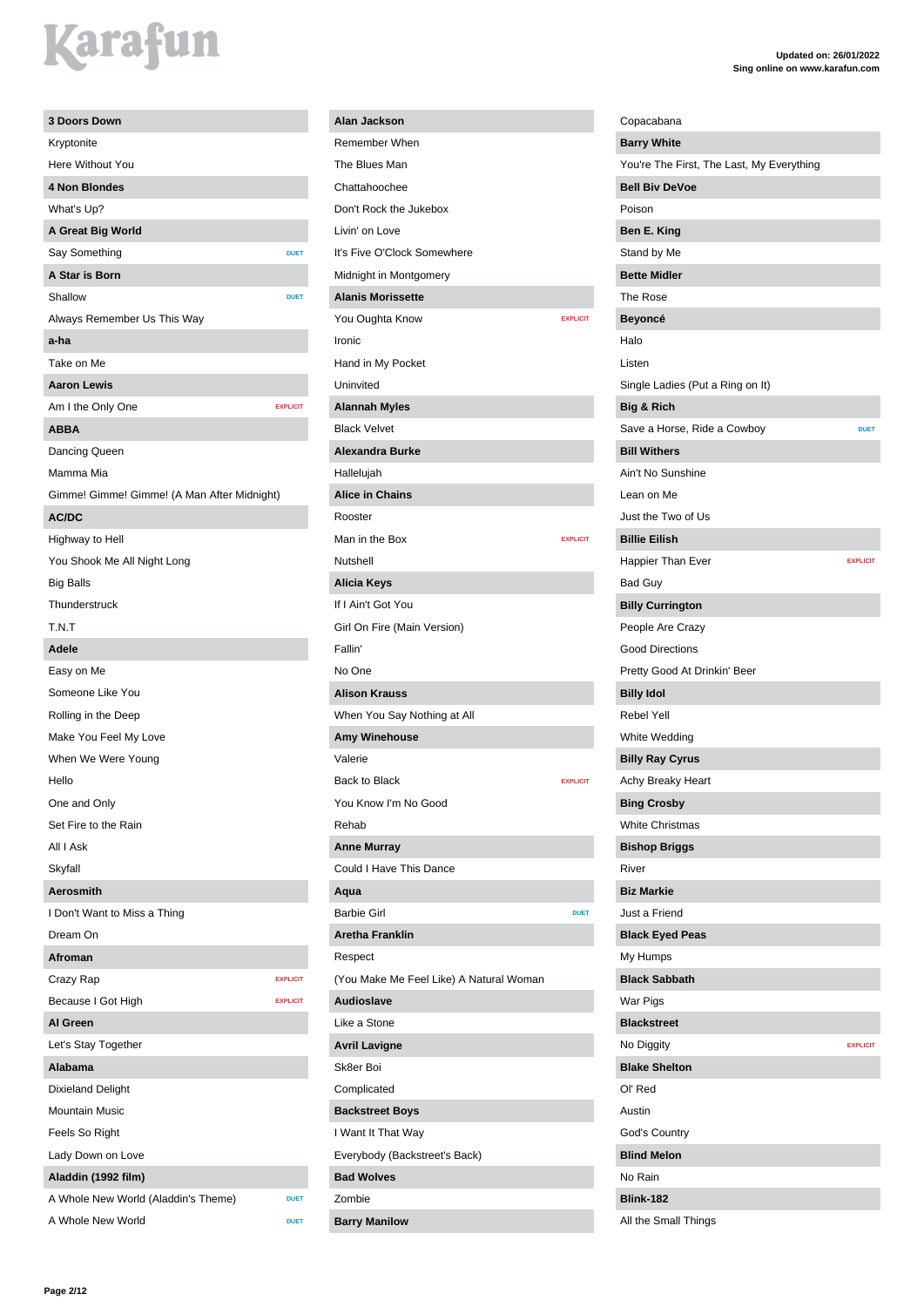| 3 Doors Down                                |                 |
|---------------------------------------------|-----------------|
| Kryptonite                                  |                 |
| Here Without You                            |                 |
| 4 Non Blondes                               |                 |
| What's Up?                                  |                 |
| A Great Big World                           |                 |
| Say Something                               | <b>DUET</b>     |
| A Star is Born                              |                 |
| Shallow                                     | <b>DUET</b>     |
| Always Remember Us This Way                 |                 |
| a-ha                                        |                 |
| Take on Me                                  |                 |
| <b>Aaron Lewis</b>                          |                 |
|                                             | <b>EXPLICIT</b> |
| Am I the Only One                           |                 |
| <b>ABBA</b>                                 |                 |
| Dancing Queen                               |                 |
| Mamma Mia                                   |                 |
| Gimme! Gimme! Gimme! (A Man After Midnight) |                 |
| AC/DC                                       |                 |
| Highway to Hell                             |                 |
| You Shook Me All Night Long                 |                 |
| <b>Big Balls</b>                            |                 |
| Thunderstruck                               |                 |
| T.N.T                                       |                 |
| Adele                                       |                 |
| Easy on Me                                  |                 |
| Someone Like You                            |                 |
| Rolling in the Deep                         |                 |
| Make You Feel My Love                       |                 |
| When We Were Young                          |                 |
| Hello                                       |                 |
| One and Only                                |                 |
| Set Fire to the Rain                        |                 |
| All I Ask                                   |                 |
| Skyfall                                     |                 |
| <b>Aerosmith</b>                            |                 |
| I Don't Want to Miss a Thing                |                 |
| Dream On                                    |                 |
| Afroman                                     |                 |
| Crazy Rap                                   | <b>EXPLICIT</b> |
| Because I Got High                          | <b>EXPLICIT</b> |
| Al Green                                    |                 |
| Let's Stay Together                         |                 |
| Alabama                                     |                 |
|                                             |                 |
| <b>Dixieland Delight</b>                    |                 |
| <b>Mountain Music</b>                       |                 |
| Feels So Right                              |                 |
| Lady Down on Love                           |                 |
| Aladdin (1992 film)                         |                 |
| A Whole New World (Aladdin's Theme)         | <b>DUET</b>     |
| A Whole New World                           | <b>DUET</b>     |

#### **Alan Jackson** Remember When The Blues Man Chattahoochee Don't Rock the Jukebox Livin' on Love It's Five O'Clock Somewhere Midnight in Montgomery **Alanis Morissette** You Oughta Know **EXPLICIT** Ironic Hand in My Pocket Uninvited **Alannah Myles** Black Velvet **Alexandra Burke** Hallelujah **Alice in Chains** Rooster Man in the Box **EXPLICIT** Nutshell **Alicia Keys** If I Ain't Got You Girl On Fire (Main Version) Fallin' No One **Alison Krauss** When You Say Nothing at All **Amy Winehouse** Valerie Back to Black **EXPLICIT** You Know I'm No Good Rehab **Anne Murray** Could I Have This Dance **Aqua** Barbie Girl **DUET Aretha Franklin** Respect (You Make Me Feel Like) A Natural Woman **Audioslave** Like a Stone **Avril Lavigne** Sk8er Boi Complicated **Backstreet Boys** I Want It That Way Everybody (Backstreet's Back) **Bad Wolves** Zombie **Barry Manilow**

| Copacabana                                |                 |
|-------------------------------------------|-----------------|
| <b>Barry White</b>                        |                 |
| You're The First, The Last, My Everything |                 |
| <b>Bell Biv DeVoe</b>                     |                 |
| Poison                                    |                 |
| Ben E. King                               |                 |
| Stand by Me                               |                 |
| <b>Bette Midler</b>                       |                 |
| The Rose                                  |                 |
| Beyoncé                                   |                 |
| Halo                                      |                 |
| Listen                                    |                 |
| Single Ladies (Put a Ring on It)          |                 |
| Big & Rich                                |                 |
| Save a Horse, Ride a Cowboy               | <b>DUET</b>     |
| <b>Bill Withers</b>                       |                 |
| Ain't No Sunshine                         |                 |
| Lean on Me                                |                 |
| Just the Two of Us                        |                 |
| <b>Billie Eilish</b>                      |                 |
| Happier Than Ever                         | <b>EXPLICIT</b> |
| <b>Bad Guy</b>                            |                 |
| <b>Billy Currington</b>                   |                 |
| People Are Crazy                          |                 |
| <b>Good Directions</b>                    |                 |
| Pretty Good At Drinkin' Beer              |                 |
| <b>Billy Idol</b>                         |                 |
| <b>Rebel Yell</b>                         |                 |
| White Wedding                             |                 |
| <b>Billy Ray Cyrus</b>                    |                 |
| Achy Breaky Heart                         |                 |
| <b>Bing Crosby</b>                        |                 |
| <b>White Christmas</b>                    |                 |
| <b>Bishop Briggs</b>                      |                 |
| River                                     |                 |
| <b>Biz Markie</b>                         |                 |
| Just a Friend                             |                 |
| <b>Black Eyed Peas</b>                    |                 |
| My Humps                                  |                 |
| <b>Black Sabbath</b>                      |                 |
| <b>War Pigs</b>                           |                 |
| <b>Blackstreet</b>                        |                 |
| No Diggity                                | <b>EXPLICIT</b> |
| <b>Blake Shelton</b>                      |                 |
| Ol' Red                                   |                 |
| Austin                                    |                 |
| God's Country                             |                 |
| <b>Blind Melon</b>                        |                 |
| No Rain                                   |                 |
| <b>Blink-182</b>                          |                 |
| All the Small Things                      |                 |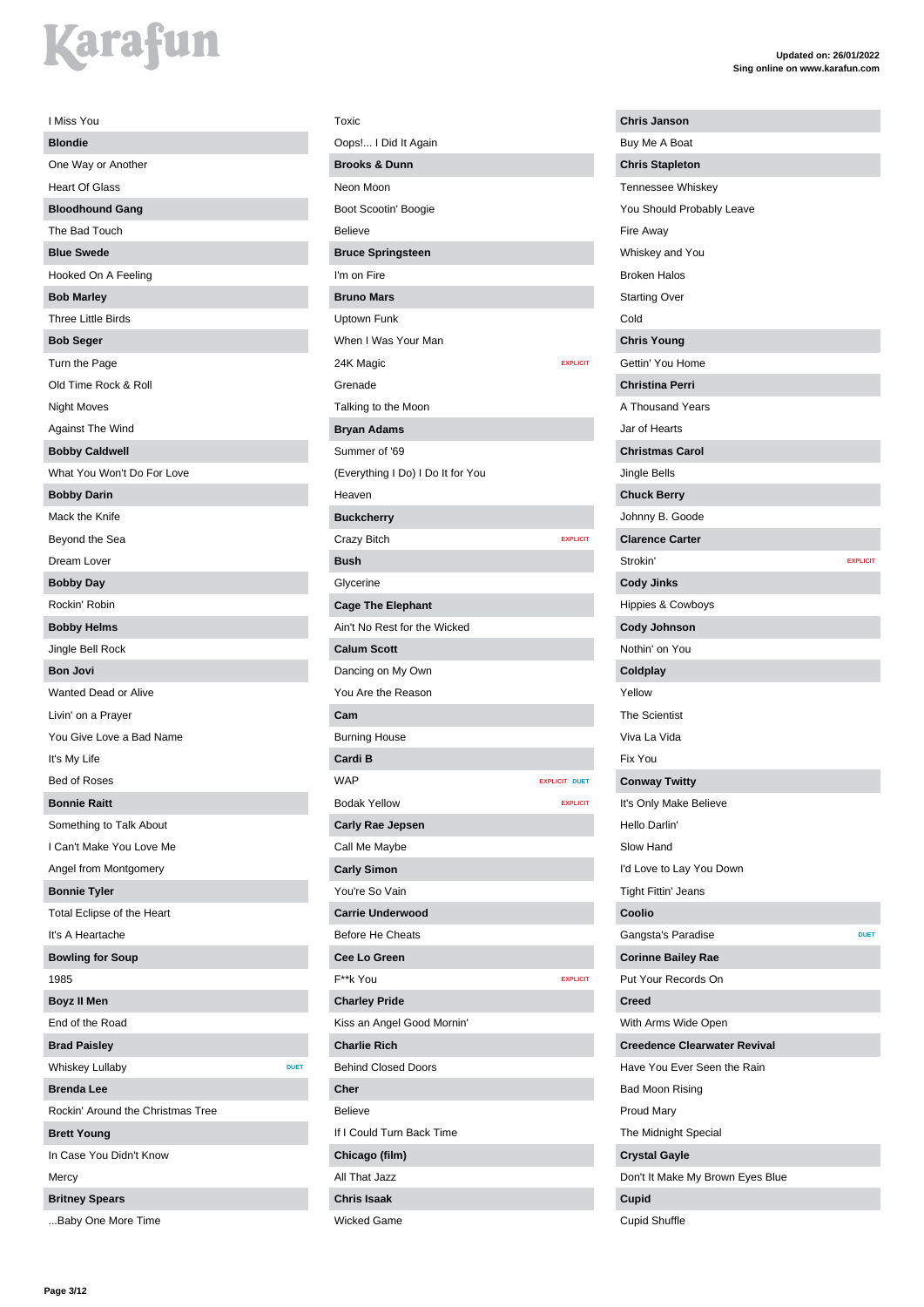| I Miss You                            |
|---------------------------------------|
| <b>Blondie</b>                        |
| One Way or Another                    |
| <b>Heart Of Glass</b>                 |
| <b>Bloodhound Gang</b>                |
| The Bad Touch                         |
| <b>Blue Swede</b>                     |
| Hooked On A Feeling                   |
| <b>Bob Marley</b>                     |
| <b>Three Little Birds</b>             |
| <b>Bob Seger</b>                      |
| Turn the Page                         |
| Old Time Rock & Roll                  |
| <b>Night Moves</b>                    |
| Against The Wind                      |
| <b>Bobby Caldwell</b>                 |
| What You Won't Do For Love            |
| <b>Bobby Darin</b>                    |
| Mack the Knife                        |
| Beyond the Sea                        |
| Dream Lover                           |
| <b>Bobby Day</b>                      |
| Rockin' Robin                         |
| <b>Bobby Helms</b>                    |
| Jingle Bell Rock                      |
| <b>Bon Jovi</b>                       |
| Wanted Dead or Alive                  |
| Livin' on a Prayer                    |
| You Give Love a Bad Name              |
| It's My Life                          |
| <b>Bed of Roses</b>                   |
| <b>Bonnie Raitt</b>                   |
| Something to Talk About               |
| I Can't Make You Love Me              |
| Angel from Montgomery                 |
| <b>Bonnie Tyler</b>                   |
| Total Eclipse of the Heart            |
| It's A Heartache                      |
| <b>Bowling for Soup</b>               |
| 1985                                  |
| <b>Boyz II Men</b>                    |
| End of the Road                       |
| <b>Brad Paisley</b>                   |
| <b>Whiskey Lullaby</b><br><b>DUET</b> |
| <b>Brenda Lee</b>                     |
| Rockin' Around the Christmas Tree     |
| <b>Brett Young</b>                    |
| In Case You Didn't Know               |
| Mercy                                 |
| <b>Britney Spears</b>                 |
| Baby One More Time                    |

| Toxic                             |                      |
|-----------------------------------|----------------------|
| Oops! I Did It Again              |                      |
| <b>Brooks &amp; Dunn</b>          |                      |
| Neon Moon                         |                      |
| Boot Scootin' Boogie              |                      |
| <b>Believe</b>                    |                      |
| <b>Bruce Springsteen</b>          |                      |
| I'm on Fire                       |                      |
| <b>Bruno Mars</b>                 |                      |
| Uptown Funk                       |                      |
| When I Was Your Man               |                      |
| 24K Magic                         | <b>EXPLICIT</b>      |
| Grenade                           |                      |
| Talking to the Moon               |                      |
| <b>Bryan Adams</b>                |                      |
| Summer of '69                     |                      |
| (Everything I Do) I Do It for You |                      |
| Heaven                            |                      |
| <b>Buckcherry</b>                 |                      |
| Crazy Bitch                       | <b>EXPLICIT</b>      |
| <b>Bush</b>                       |                      |
| Glycerine                         |                      |
| <b>Cage The Elephant</b>          |                      |
| Ain't No Rest for the Wicked      |                      |
| <b>Calum Scott</b>                |                      |
| Dancing on My Own                 |                      |
| You Are the Reason                |                      |
| Cam                               |                      |
| <b>Burning House</b>              |                      |
| Cardi B                           |                      |
| <b>WAP</b>                        | <b>EXPLICIT DUET</b> |
| <b>Bodak Yellow</b>               | <b>EXPLICIT</b>      |
| <b>Carly Rae Jepsen</b>           |                      |
| Call Me Maybe                     |                      |
| <b>Carly Simon</b>                |                      |
| You're So Vain                    |                      |
| <b>Carrie Underwood</b>           |                      |
| <b>Before He Cheats</b>           |                      |
| Cee Lo Green                      |                      |
| F**k You                          | <b>EXPLICIT</b>      |
| <b>Charley Pride</b>              |                      |
| Kiss an Angel Good Mornin'        |                      |
| <b>Charlie Rich</b>               |                      |
| <b>Behind Closed Doors</b>        |                      |
| Cher                              |                      |
| <b>Believe</b>                    |                      |
| If I Could Turn Back Time         |                      |
| Chicago (film)                    |                      |
| All That Jazz                     |                      |
| <b>Chris Isaak</b>                |                      |
| <b>Wicked Game</b>                |                      |

| <b>Chris Janson</b>                 |
|-------------------------------------|
| Buy Me A Boat                       |
| <b>Chris Stapleton</b>              |
| <b>Tennessee Whiskey</b>            |
| You Should Probably Leave           |
| Fire Away                           |
| Whiskey and You                     |
| <b>Broken Halos</b>                 |
| <b>Starting Over</b>                |
| Cold                                |
| <b>Chris Young</b>                  |
| Gettin' You Home                    |
| <b>Christina Perri</b>              |
| A Thousand Years                    |
| Jar of Hearts                       |
| <b>Christmas Carol</b>              |
| Jingle Bells                        |
| <b>Chuck Berry</b>                  |
| Johnny B. Goode                     |
| <b>Clarence Carter</b>              |
| Strokin'<br><b>EXPLICIT</b>         |
|                                     |
| <b>Cody Jinks</b>                   |
| <b>Hippies &amp; Cowboys</b>        |
| <b>Cody Johnson</b>                 |
| Nothin' on You                      |
| Coldplay                            |
| Yellow                              |
| <b>The Scientist</b>                |
| Viva La Vida                        |
| Fix You                             |
| <b>Conway Twitty</b>                |
| It's Only Make Believe              |
| Hello Darlin'                       |
| Slow Hand                           |
| I'd Love to Lay You Down            |
| <b>Tight Fittin' Jeans</b>          |
| Coolio                              |
| Gangsta's Paradise<br><b>DUET</b>   |
| <b>Corinne Bailey Rae</b>           |
| Put Your Records On                 |
| Creed                               |
| With Arms Wide Open                 |
| <b>Creedence Clearwater Revival</b> |
| Have You Ever Seen the Rain         |
| Bad Moon Rising                     |
| <b>Proud Mary</b>                   |
| The Midnight Special                |
| <b>Crystal Gayle</b>                |
| Don't It Make My Brown Eyes Blue    |
| Cupid                               |
| <b>Cupid Shuffle</b>                |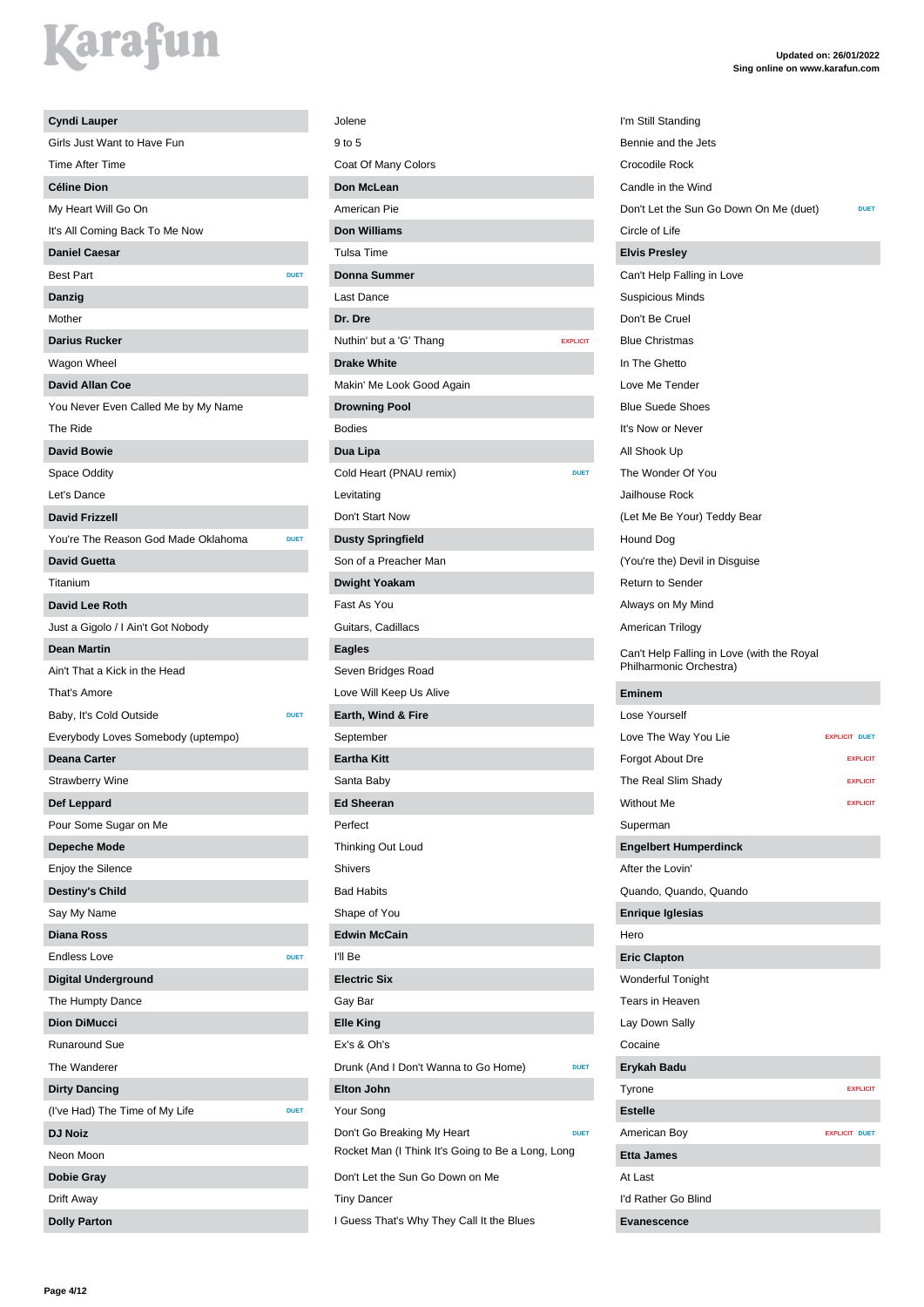| <b>Cyndi Lauper</b>                 |             |
|-------------------------------------|-------------|
| Girls Just Want to Have Fun         |             |
| <b>Time After Time</b>              |             |
| <b>Céline Dion</b>                  |             |
| My Heart Will Go On                 |             |
| It's All Coming Back To Me Now      |             |
| <b>Daniel Caesar</b>                |             |
| <b>Best Part</b>                    | <b>DUET</b> |
| Danzig                              |             |
| Mother                              |             |
| <b>Darius Rucker</b>                |             |
| Wagon Wheel                         |             |
| <b>David Allan Coe</b>              |             |
| You Never Even Called Me by My Name |             |
| The Ride                            |             |
| <b>David Bowie</b>                  |             |
| Space Oddity                        |             |
| Let's Dance                         |             |
| <b>David Frizzell</b>               |             |
|                                     | <b>DUET</b> |
| You're The Reason God Made Oklahoma |             |
| <b>David Guetta</b>                 |             |
| Titanium                            |             |
| <b>David Lee Roth</b>               |             |
| Just a Gigolo / I Ain't Got Nobody  |             |
| <b>Dean Martin</b>                  |             |
| Ain't That a Kick in the Head       |             |
| That's Amore                        |             |
| Baby, It's Cold Outside             | <b>DUET</b> |
| Everybody Loves Somebody (uptempo)  |             |
| <b>Deana Carter</b>                 |             |
| <b>Strawberry Wine</b>              |             |
| Def Leppard                         |             |
| Pour Some Sugar on Me               |             |
| <b>Depeche Mode</b>                 |             |
| Enjoy the Silence                   |             |
| <b>Destiny's Child</b>              |             |
| Say My Name                         |             |
| <b>Diana Ross</b>                   |             |
| <b>Endless Love</b>                 | <b>DUET</b> |
| <b>Digital Underground</b>          |             |
| The Humpty Dance                    |             |
| <b>Dion DiMucci</b>                 |             |
| <b>Runaround Sue</b>                |             |
| The Wanderer                        |             |
| <b>Dirty Dancing</b>                |             |
| (I've Had) The Time of My Life      | <b>DUET</b> |
| <b>DJ Noiz</b>                      |             |
| Neon Moon                           |             |
| <b>Dobie Gray</b>                   |             |
| Drift Away                          |             |
|                                     |             |

| Jolene                                                |                 |
|-------------------------------------------------------|-----------------|
| 9 to 5                                                |                 |
| Coat Of Many Colors                                   |                 |
| Don McLean                                            |                 |
| American Pie                                          |                 |
| <b>Don Williams</b>                                   |                 |
| <b>Tulsa Time</b>                                     |                 |
| <b>Donna Summer</b>                                   |                 |
| Last Dance                                            |                 |
| Dr. Dre                                               |                 |
| Nuthin' but a 'G' Thang                               | <b>EXPLICIT</b> |
| <b>Drake White</b>                                    |                 |
| Makin' Me Look Good Again                             |                 |
| <b>Drowning Pool</b>                                  |                 |
| <b>Bodies</b>                                         |                 |
| Dua Lipa                                              |                 |
| Cold Heart (PNAU remix)                               | <b>DUET</b>     |
| Levitating                                            |                 |
| Don't Start Now                                       |                 |
| <b>Dusty Springfield</b>                              |                 |
| Son of a Preacher Man                                 |                 |
| <b>Dwight Yoakam</b>                                  |                 |
| Fast As You                                           |                 |
| Guitars, Cadillacs                                    |                 |
| <b>Eagles</b>                                         |                 |
| Seven Bridges Road                                    |                 |
| Love Will Keep Us Alive                               |                 |
| Earth, Wind & Fire                                    |                 |
| September                                             |                 |
| <b>Eartha Kitt</b>                                    |                 |
| Santa Baby                                            |                 |
| <b>Ed Sheeran</b>                                     |                 |
| Perfect                                               |                 |
| Thinking Out Loud                                     |                 |
| Shivers                                               |                 |
| <b>Bad Habits</b>                                     |                 |
| Shape of You                                          |                 |
| <b>Edwin McCain</b>                                   |                 |
| I'll Be                                               |                 |
| <b>Electric Six</b>                                   |                 |
| Gay Bar                                               |                 |
| <b>Elle King</b>                                      |                 |
| Ex's & Oh's                                           |                 |
| Drunk (And I Don't Wanna to Go Home)                  | <b>DUET</b>     |
| <b>Elton John</b>                                     |                 |
| Your Song                                             |                 |
| Don't Go Breaking My Heart                            | <b>DUET</b>     |
| Rocket Man (I Think It's Going to Be a Long, Long     |                 |
| Don't Let the Sun Go Down on Me<br><b>Tiny Dancer</b> |                 |
| I Guess That's Why They Call It the Blues             |                 |
|                                                       |                 |

| I'm Still Standing                                                    |                      |
|-----------------------------------------------------------------------|----------------------|
| Bennie and the Jets                                                   |                      |
| Crocodile Rock                                                        |                      |
| Candle in the Wind                                                    |                      |
| Don't Let the Sun Go Down On Me (duet)                                | <b>DUET</b>          |
| Circle of Life                                                        |                      |
| <b>Elvis Presley</b>                                                  |                      |
| Can't Help Falling in Love                                            |                      |
| <b>Suspicious Minds</b>                                               |                      |
| Don't Be Cruel                                                        |                      |
| <b>Blue Christmas</b>                                                 |                      |
| In The Ghetto                                                         |                      |
| Love Me Tender                                                        |                      |
| <b>Blue Suede Shoes</b>                                               |                      |
| It's Now or Never                                                     |                      |
| All Shook Up                                                          |                      |
| The Wonder Of You                                                     |                      |
| Jailhouse Rock                                                        |                      |
| (Let Me Be Your) Teddy Bear                                           |                      |
| Hound Dog                                                             |                      |
| (You're the) Devil in Disguise                                        |                      |
| <b>Return to Sender</b>                                               |                      |
| Always on My Mind                                                     |                      |
| American Trilogy                                                      |                      |
| Can't Help Falling in Love (with the Royal<br>Philharmonic Orchestra) |                      |
| <b>Eminem</b>                                                         |                      |
| Lose Yourself                                                         |                      |
| Love The Way You Lie                                                  | <b>EXPLICIT DUET</b> |
| Forgot About Dre                                                      | <b>EXPLICIT</b>      |
| The Real Slim Shady                                                   | <b>EXPLICIT</b>      |
| <b>Without Me</b>                                                     | <b>EXPLICIT</b>      |
| Superman                                                              |                      |
| <b>Engelbert Humperdinck</b>                                          |                      |
| After the Lovin'                                                      |                      |
| Quando, Quando, Quando                                                |                      |
| <b>Enrique Iglesias</b>                                               |                      |
| Hero                                                                  |                      |
| <b>Eric Clapton</b>                                                   |                      |
| Wonderful Tonight                                                     |                      |
| Tears in Heaven                                                       |                      |
| Lay Down Sally                                                        |                      |
| Cocaine                                                               |                      |
| Erykah Badu                                                           |                      |
| Tyrone                                                                | <b>EXPLICIT</b>      |
| <b>Estelle</b>                                                        |                      |
| American Boy                                                          | <b>EXPLICIT DUET</b> |
| <b>Etta James</b>                                                     |                      |
| At Last                                                               |                      |
| I'd Rather Go Blind                                                   |                      |
|                                                                       |                      |
| <b>Evanescence</b>                                                    |                      |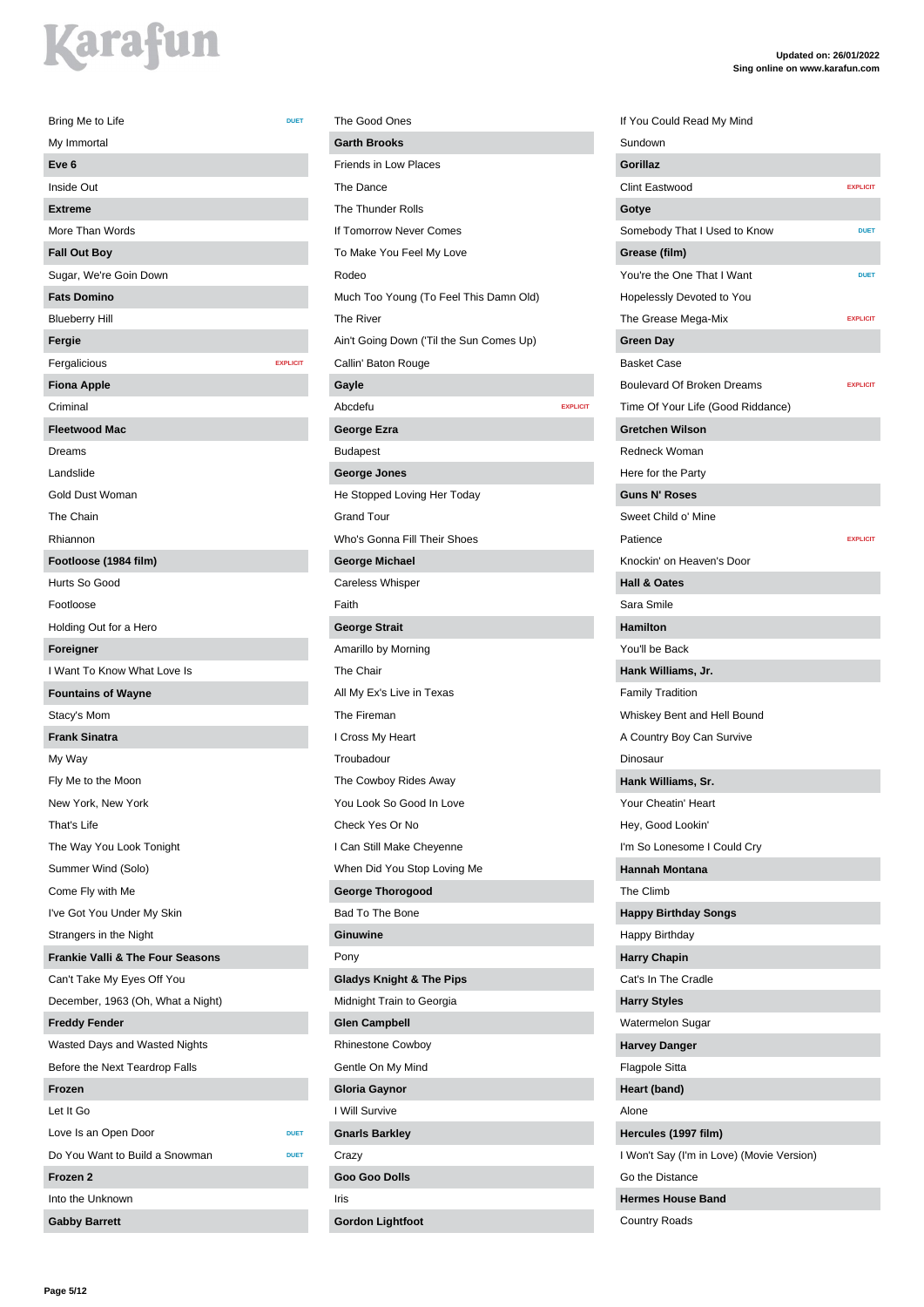| Bring Me to Life                                                      | <b>DUET</b>     |
|-----------------------------------------------------------------------|-----------------|
| My Immortal                                                           |                 |
| Eve <sub>6</sub>                                                      |                 |
| Inside Out                                                            |                 |
| <b>Extreme</b>                                                        |                 |
| More Than Words                                                       |                 |
| <b>Fall Out Boy</b>                                                   |                 |
| Sugar, We're Goin Down                                                |                 |
| <b>Fats Domino</b>                                                    |                 |
| <b>Blueberry Hill</b>                                                 |                 |
| Fergie                                                                |                 |
| Fergalicious                                                          | <b>EXPLICIT</b> |
| <b>Fiona Apple</b>                                                    |                 |
| Criminal                                                              |                 |
| <b>Fleetwood Mac</b>                                                  |                 |
| Dreams                                                                |                 |
| Landslide                                                             |                 |
| Gold Dust Woman                                                       |                 |
| The Chain                                                             |                 |
| Rhiannon                                                              |                 |
| Footloose (1984 film)                                                 |                 |
| Hurts So Good                                                         |                 |
| Footloose                                                             |                 |
| Holding Out for a Hero                                                |                 |
| Foreigner                                                             |                 |
| I Want To Know What Love Is                                           |                 |
| <b>Fountains of Wayne</b>                                             |                 |
| Stacy's Mom                                                           |                 |
| <b>Frank Sinatra</b>                                                  |                 |
| My Way                                                                |                 |
| Fly Me to the Moon                                                    |                 |
| New York, New York                                                    |                 |
| That's Life                                                           |                 |
| The Way You Look Tonight                                              |                 |
| Summer Wind (Solo)                                                    |                 |
| Come Fly with Me                                                      |                 |
|                                                                       |                 |
| I've Got You Under My Skin                                            |                 |
| Strangers in the Night<br><b>Frankie Valli &amp; The Four Seasons</b> |                 |
| Can't Take My Eyes Off You                                            |                 |
| December, 1963 (Oh, What a Night)                                     |                 |
|                                                                       |                 |
| <b>Freddy Fender</b>                                                  |                 |
| Wasted Days and Wasted Nights                                         |                 |
| Before the Next Teardrop Falls                                        |                 |
| Frozen                                                                |                 |
| Let It Go                                                             |                 |
| Love Is an Open Door                                                  | <b>DUET</b>     |
| Do You Want to Build a Snowman                                        | <b>DUET</b>     |
| Frozen 2                                                              |                 |
| Into the Unknown                                                      |                 |
| <b>Gabby Barrett</b>                                                  |                 |

The Good Ones **Garth Brooks** Friends in Low Places The Dance The Thunder Rolls If Tomorrow Never Comes To Make You Feel My Love Rodeo Much Too Young (To Feel This Damn Old) The River Ain't Going Down ('Til the Sun Comes Up) Callin' Baton Rouge **Gayle** Abcdefu **EXPLICIT George Ezra** Budapest **George Jones** He Stopped Loving Her Today Grand Tour Who's Gonna Fill Their Shoes **George Michael** Careless Whisper Faith **George Strait** Amarillo by Morning The Chair All My Ex's Live in Texas The Fireman I Cross My Heart Troubadour The Cowboy Rides Away You Look So Good In Love Check Yes Or No I Can Still Make Cheyenne When Did You Stop Loving Me **George Thorogood** Bad To The Bone **Ginuwine** Pony **Gladys Knight & The Pips** Midnight Train to Georgia **Glen Campbell** Rhinestone Cowboy Gentle On My Mind **Gloria Gaynor** I Will Survive **Gnarls Barkley** Crazy **Goo Goo Dolls** Iris

**Gordon Lightfoot**

#### **Updated on: 26/01/2022 Sing online on www.karafun.com**

If You Could Read My Mind Sundown **Gorillaz** Clint Eastwood **EXPLICIT Gotye** Somebody That I Used to Know **DUET Grease (film)** You're the One That I Want Hopelessly Devoted to You The Grease Mega-Mix **EXPLICIT Green Day** Basket Case **Boulevard Of Broken Dreams EXPLICIT** Time Of Your Life (Good Riddance) **Gretchen Wilson** Redneck Woman Here for the Party **Guns N' Roses** Sweet Child o' Mine **Patience** EXPLICIT Knockin' on Heaven's Door **Hall & Oates** Sara Smile **Hamilton** You'll be Back **Hank Williams, Jr.** Family Tradition Whiskey Bent and Hell Bound A Country Boy Can Survive Dinosaur **Hank Williams, Sr.** Your Cheatin' Heart Hey, Good Lookin' I'm So Lonesome I Could Cry **Hannah Montana** The Climb **Happy Birthday Songs** Happy Birthday **Harry Chapin** Cat's In The Cradle **Harry Styles** Watermelon Sugar **Harvey Danger** Flagpole Sitta **Heart (band)** Alone **Hercules (1997 film)** I Won't Say (I'm in Love) (Movie Version) Go the Distance **Hermes House Band**

Country Roads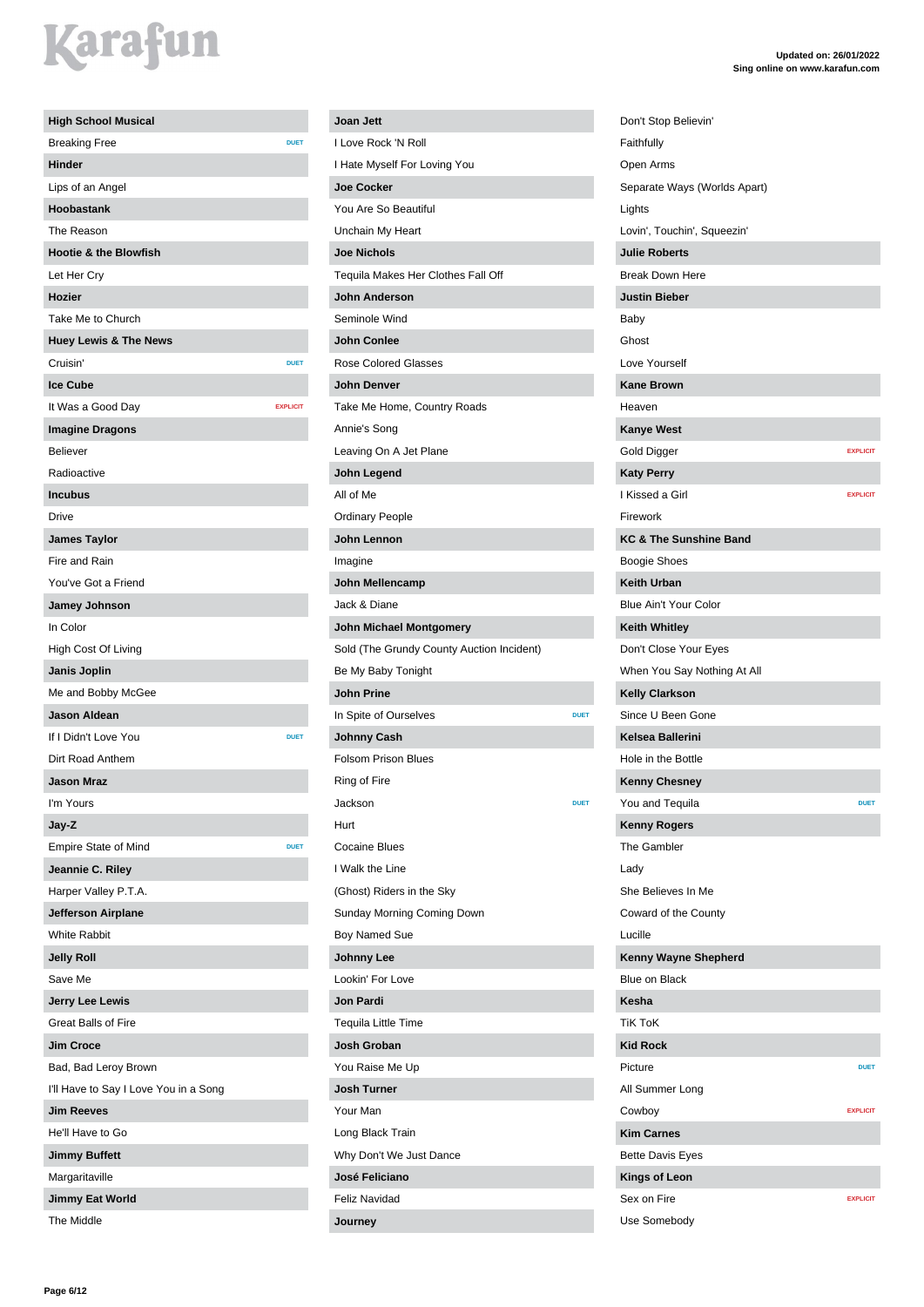| <b>High School Musical</b>            |                 |
|---------------------------------------|-----------------|
| <b>Breaking Free</b>                  | <b>DUET</b>     |
| <b>Hinder</b>                         |                 |
| Lips of an Angel                      |                 |
| Hoobastank                            |                 |
| The Reason                            |                 |
| <b>Hootie &amp; the Blowfish</b>      |                 |
| Let Her Cry                           |                 |
| Hozier                                |                 |
| Take Me to Church                     |                 |
| <b>Huey Lewis &amp; The News</b>      |                 |
| Cruisin'                              | <b>DUET</b>     |
| <b>Ice Cube</b>                       |                 |
| It Was a Good Day                     | <b>EXPLICIT</b> |
| <b>Imagine Dragons</b>                |                 |
| <b>Believer</b>                       |                 |
| Radioactive                           |                 |
| <b>Incubus</b>                        |                 |
| Drive                                 |                 |
| <b>James Taylor</b>                   |                 |
| Fire and Rain                         |                 |
| You've Got a Friend                   |                 |
| Jamey Johnson                         |                 |
| In Color                              |                 |
| High Cost Of Living                   |                 |
| Janis Joplin                          |                 |
| Me and Bobby McGee                    |                 |
| <b>Jason Aldean</b>                   |                 |
| If I Didn't Love You                  | <b>DUET</b>     |
| Dirt Road Anthem                      |                 |
| <b>Jason Mraz</b>                     |                 |
| I'm Yours                             |                 |
| Jay-Z                                 |                 |
| <b>Empire State of Mind</b>           | <b>DUET</b>     |
| Jeannie C. Riley                      |                 |
| Harper Valley P.T.A.                  |                 |
| Jefferson Airplane                    |                 |
| <b>White Rabbit</b>                   |                 |
| <b>Jelly Roll</b>                     |                 |
| Save Me                               |                 |
| Jerry Lee Lewis                       |                 |
| <b>Great Balls of Fire</b>            |                 |
| Jim Croce                             |                 |
| Bad, Bad Leroy Brown                  |                 |
| I'll Have to Say I Love You in a Song |                 |
| <b>Jim Reeves</b>                     |                 |
| He'll Have to Go                      |                 |
| <b>Jimmy Buffett</b>                  |                 |
| Margaritaville                        |                 |
| <b>Jimmy Eat World</b>                |                 |
| The Middle                            |                 |

#### **Joan Jett** I Love Rock 'N Roll I Hate Myself For Loving You **Joe Cocker** You Are So Beautiful Unchain My Heart **Joe Nichols** Tequila Makes Her Clothes Fall Off **John Anderson** Seminole Wind **John Conlee** Rose Colored Glasses **John Denver** Take Me Home, Country Roads Annie's Song Leaving On A Jet Plane **John Legend** All of Me Ordinary People **John Lennon** Imagine **John Mellencamp** Jack & Diane **John Michael Montgomery** Sold (The Grundy County Auction Incident) Be My Baby Tonight **John Prine In Spite of Ourselves DUE Johnny Cash** Folsom Prison Blues Ring of Fire **Jackson DUET** Hurt Cocaine Blues I Walk the Line (Ghost) Riders in the Sky Sunday Morning Coming Down Boy Named Sue **Johnny Lee** Lookin' For Love **Jon Pardi** Tequila Little Time **Josh Groban** You Raise Me Up **Josh Turner** Your Man Long Black Train Why Don't We Just Dance **José Feliciano** Feliz Navidad

**Journey**

| Don't Stop Believin'              |                 |
|-----------------------------------|-----------------|
| Faithfully                        |                 |
| Open Arms                         |                 |
| Separate Ways (Worlds Apart)      |                 |
| Lights                            |                 |
| Lovin', Touchin', Squeezin'       |                 |
| <b>Julie Roberts</b>              |                 |
| <b>Break Down Here</b>            |                 |
| <b>Justin Bieber</b>              |                 |
| Baby                              |                 |
| Ghost                             |                 |
| Love Yourself                     |                 |
| <b>Kane Brown</b>                 |                 |
| Heaven                            |                 |
| <b>Kanye West</b>                 |                 |
| Gold Digger                       | <b>EXPLICIT</b> |
| <b>Katy Perry</b>                 |                 |
| I Kissed a Girl                   | <b>EXPLICIT</b> |
| Firework                          |                 |
| <b>KC &amp; The Sunshine Band</b> |                 |
| <b>Boogie Shoes</b>               |                 |
| <b>Keith Urban</b>                |                 |
| <b>Blue Ain't Your Color</b>      |                 |
| <b>Keith Whitley</b>              |                 |
| Don't Close Your Eyes             |                 |
| When You Say Nothing At All       |                 |
| <b>Kelly Clarkson</b>             |                 |
| Since U Been Gone                 |                 |
| Kelsea Ballerini                  |                 |
| Hole in the Bottle                |                 |
| <b>Kenny Chesney</b>              |                 |
| You and Tequila                   | <b>DUET</b>     |
| <b>Kenny Rogers</b>               |                 |
| The Gambler                       |                 |
| Lady                              |                 |
| She Believes In Me                |                 |
| Coward of the County              |                 |
| Lucille                           |                 |
| Kenny Wayne Shepherd              |                 |
| Blue on Black                     |                 |
| <b>Kesha</b>                      |                 |
| <b>TiK ToK</b>                    |                 |
| <b>Kid Rock</b>                   |                 |
| Picture                           | <b>DUET</b>     |
| All Summer Long                   |                 |
| Cowboy                            | <b>EXPLICIT</b> |
| <b>Kim Carnes</b>                 |                 |
| <b>Bette Davis Eyes</b>           |                 |
| <b>Kings of Leon</b>              |                 |
| Sex on Fire                       | <b>EXPLICIT</b> |
| Use Somebody                      |                 |
|                                   |                 |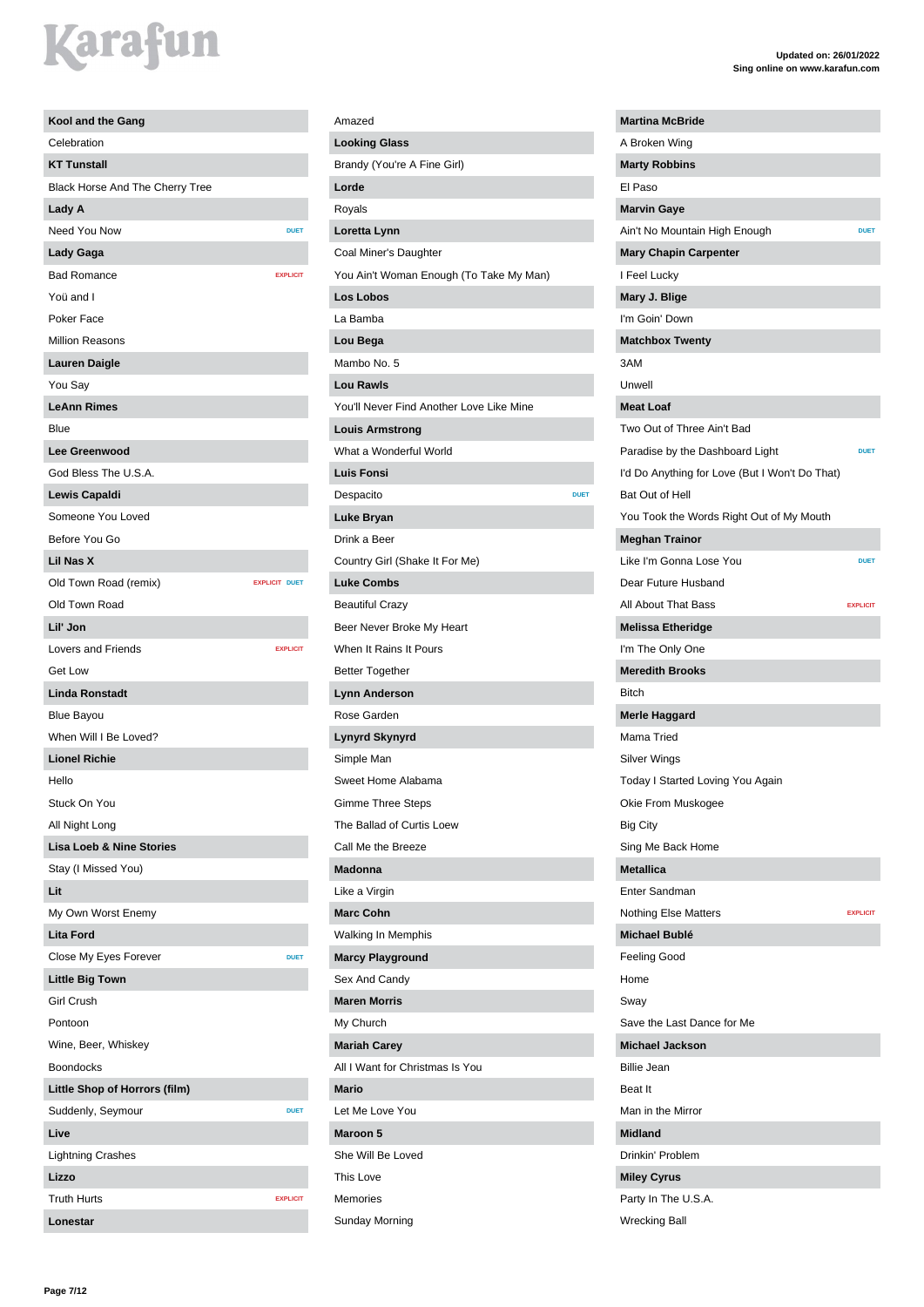### *<u>arafun</u>*

| Kool and the Gang                   |                      |
|-------------------------------------|----------------------|
| Celebration                         |                      |
| <b>KT Tunstall</b>                  |                      |
| Black Horse And The Cherry Tree     |                      |
| Lady A                              |                      |
| Need You Now                        | <b>DUET</b>          |
| <b>Lady Gaga</b>                    |                      |
| <b>Bad Romance</b>                  | <b>EXPLICIT</b>      |
| Yoü and I                           |                      |
| Poker Face                          |                      |
| <b>Million Reasons</b>              |                      |
| <b>Lauren Daigle</b>                |                      |
| You Say                             |                      |
| <b>LeAnn Rimes</b>                  |                      |
| Blue                                |                      |
| <b>Lee Greenwood</b>                |                      |
| God Bless The U.S.A.                |                      |
| Lewis Capaldi                       |                      |
| Someone You Loved                   |                      |
| Before You Go                       |                      |
| Lil Nas X                           |                      |
| Old Town Road (remix)               | <b>EXPLICIT DUET</b> |
| Old Town Road                       |                      |
| Lil' Jon                            |                      |
| <b>Lovers and Friends</b>           | <b>EXPLICIT</b>      |
| <b>Get Low</b>                      |                      |
| <b>Linda Ronstadt</b>               |                      |
| <b>Blue Bayou</b>                   |                      |
| When Will I Be Loved?               |                      |
| <b>Lionel Richie</b>                |                      |
| Hello                               |                      |
| Stuck On You                        |                      |
| All Night Long                      |                      |
| <b>Lisa Loeb &amp; Nine Stories</b> |                      |
| Stay (I Missed You)                 |                      |
| Lit                                 |                      |
| My Own Worst Enemy                  |                      |
| <b>Lita Ford</b>                    |                      |
| Close My Eyes Forever               | <b>DUET</b>          |
| <b>Little Big Town</b>              |                      |
| <b>Girl Crush</b>                   |                      |
| Pontoon                             |                      |
| Wine, Beer, Whiskey                 |                      |
| <b>Boondocks</b>                    |                      |
| Little Shop of Horrors (film)       |                      |
| Suddenly, Seymour                   | <b>DUET</b>          |
| Live                                |                      |
| <b>Lightning Crashes</b>            |                      |
| Lizzo                               |                      |
| <b>Truth Hurts</b>                  | <b>EXPLICIT</b>      |
| Lonestar                            |                      |

#### Amazed **Looking Glass** Brandy (You're A Fine Girl) **Lorde** Royals **Loretta Lynn** Coal Miner's Daughter You Ain't Woman Enough (To Take My Man) **Los Lobos** La Bamba **Lou Bega** Mambo No. 5 **Lou Rawls** You'll Never Find Another Love Like Mine **Louis Armstrong** What a Wonderful World **Luis Fonsi** Despacito **Despacito DESPACITO Luke Bryan** Drink a Beer Country Girl (Shake It For Me) **Luke Combs** Beautiful Crazy Beer Never Broke My Heart When It Rains It Pours Better Together **Lynn Anderson** Rose Garden **Lynyrd Skynyrd** Simple Man Sweet Home Alabama Gimme Three Steps The Ballad of Curtis Loew Call Me the Breeze **Madonna** Like a Virgin **Marc Cohn** Walking In Memphis **Marcy Playground** Sex And Candy **Maren Morris** My Church **Mariah Carey** All I Want for Christmas Is You **Mario** Let Me Love You **Maroon 5** She Will Be Loved This Love Memories

Sunday Morning

**Martina McBride** A Broken Wing **Marty Robbins** El Paso **Marvin Gaye Ain't No Mountain High Enough Mary Chapin Carpenter** I Feel Lucky **Mary J. Blige** I'm Goin' Down **Matchbox Twenty** Unwell **Meat Loaf** Two Out of Three Ain't Bad Paradise by the Dashboard Light **DUET** I'd Do Anything for Love (But I Won't Do That) Bat Out of Hell You Took the Words Right Out of My Mouth **Meghan Trainor** Like I'm Gonna Lose You **DUET** Dear Future Husband All About That Bass **EXPLICIT Melissa Etheridge** I'm The Only One **Meredith Brooks Merle Haggard** Mama Tried Silver Wings Today I Started Loving You Again Okie From Muskogee Big City Sing Me Back Home **Metallica** Enter Sandman Nothing Else Matters **EXPLICIT Michael Bublé** Feeling Good Home Save the Last Dance for Me **Michael Jackson** Billie Jean Beat It Man in the Mirror **Midland** Drinkin' Problem **Miley Cyrus**

3AM

Bitch

Sway

Party In The U.S.A. Wrecking Ball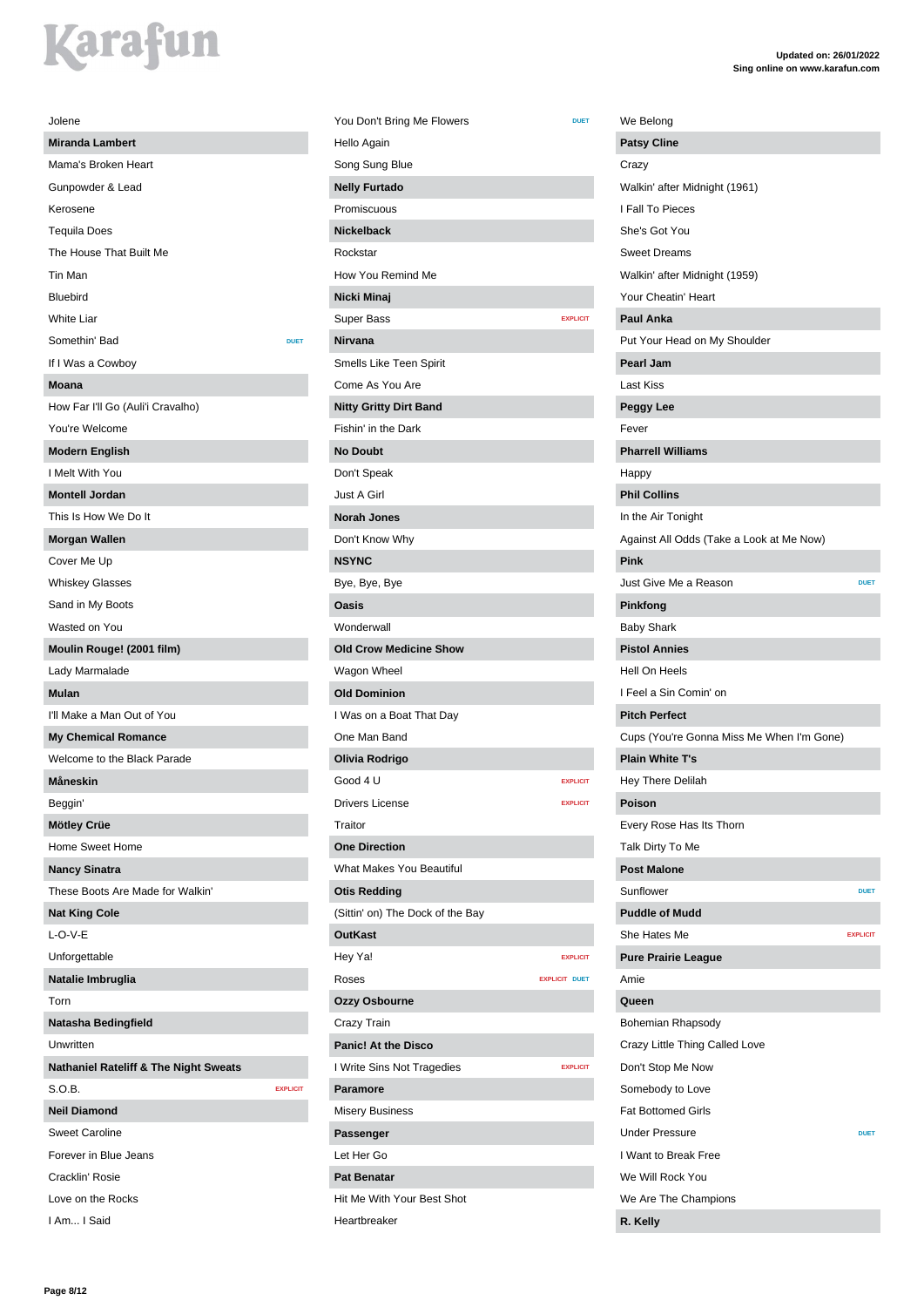| Jolene                                           |
|--------------------------------------------------|
| <b>Miranda Lambert</b>                           |
| Mama's Broken Heart                              |
| Gunpowder & Lead                                 |
| Kerosene                                         |
| <b>Tequila Does</b>                              |
| The House That Built Me                          |
| Tin Man                                          |
| Bluebird                                         |
| <b>White Liar</b>                                |
| Somethin' Bad<br><b>DUET</b>                     |
| If I Was a Cowboy                                |
| <b>Moana</b>                                     |
| How Far I'll Go (Auli'i Cravalho)                |
| You're Welcome                                   |
| <b>Modern English</b>                            |
| I Melt With You                                  |
| <b>Montell Jordan</b>                            |
| This Is How We Do It                             |
| <b>Morgan Wallen</b>                             |
| Cover Me Up                                      |
| <b>Whiskey Glasses</b>                           |
| Sand in My Boots                                 |
| Wasted on You                                    |
| Moulin Rouge! (2001 film)                        |
| Lady Marmalade                                   |
| <b>Mulan</b>                                     |
| I'll Make a Man Out of You                       |
| <b>My Chemical Romance</b>                       |
| Welcome to the Black Parade                      |
| Måneskin                                         |
| Beggin'                                          |
| Mötley Crüe                                      |
| Home Sweet Home                                  |
| <b>Nancy Sinatra</b>                             |
| These Boots Are Made for Walkin'                 |
| <b>Nat King Cole</b>                             |
| $L$ -O-V-E                                       |
| Unforgettable                                    |
| Natalie Imbruglia                                |
| Torn                                             |
| Natasha Bedingfield                              |
| Unwritten                                        |
| <b>Nathaniel Rateliff &amp; The Night Sweats</b> |
| S.O.B.<br><b>EXPLICIT</b>                        |
| <b>Neil Diamond</b>                              |
| <b>Sweet Caroline</b>                            |
| Forever in Blue Jeans                            |
| Cracklin' Rosie                                  |
| Love on the Rocks                                |
| I Am I Said                                      |

| You Don't Bring Me Flowers       | <b>DUET</b>          |
|----------------------------------|----------------------|
| Hello Again                      |                      |
| Song Sung Blue                   |                      |
| <b>Nelly Furtado</b>             |                      |
| Promiscuous                      |                      |
| <b>Nickelback</b>                |                      |
| Rockstar                         |                      |
| How You Remind Me                |                      |
| Nicki Minaj                      |                      |
| <b>Super Bass</b>                | <b>EXPLICIT</b>      |
| <b>Nirvana</b>                   |                      |
| Smells Like Teen Spirit          |                      |
| Come As You Are                  |                      |
| <b>Nitty Gritty Dirt Band</b>    |                      |
| Fishin' in the Dark              |                      |
| <b>No Doubt</b>                  |                      |
| Don't Speak                      |                      |
| Just A Girl                      |                      |
| <b>Norah Jones</b>               |                      |
| Don't Know Why                   |                      |
| <b>NSYNC</b>                     |                      |
| Bye, Bye, Bye                    |                      |
| Oasis                            |                      |
| Wonderwall                       |                      |
| <b>Old Crow Medicine Show</b>    |                      |
| Wagon Wheel                      |                      |
| <b>Old Dominion</b>              |                      |
| I Was on a Boat That Day         |                      |
| One Man Band                     |                      |
| Olivia Rodrigo                   |                      |
| Good 4 U                         | <b>EXPLICIT</b>      |
| Drivers License                  | <b>EXPLICIT</b>      |
| Traitor                          |                      |
| <b>One Direction</b>             |                      |
| <b>What Makes You Beautiful</b>  |                      |
| <b>Otis Redding</b>              |                      |
| (Sittin' on) The Dock of the Bay |                      |
| <b>OutKast</b>                   |                      |
| Hey Ya!                          | <b>EXPLICIT</b>      |
| Roses                            | <b>EXPLICIT DUET</b> |
| Ozzy Osbourne                    |                      |
| Crazy Train                      |                      |
| <b>Panic! At the Disco</b>       |                      |
| I Write Sins Not Tragedies       | <b>EXPLICIT</b>      |
| <b>Paramore</b>                  |                      |
| <b>Misery Business</b>           |                      |
| Passenger                        |                      |
| Let Her Go                       |                      |
| <b>Pat Benatar</b>               |                      |
| Hit Me With Your Best Shot       |                      |
| Heartbreaker                     |                      |

| We Belong                                 |                 |
|-------------------------------------------|-----------------|
| <b>Patsy Cline</b>                        |                 |
| Crazy                                     |                 |
| Walkin' after Midnight (1961)             |                 |
| I Fall To Pieces                          |                 |
| She's Got You                             |                 |
| <b>Sweet Dreams</b>                       |                 |
| Walkin' after Midnight (1959)             |                 |
| Your Cheatin' Heart                       |                 |
| <b>Paul Anka</b>                          |                 |
| Put Your Head on My Shoulder              |                 |
| <b>Pearl Jam</b>                          |                 |
| Last Kiss                                 |                 |
| Peggy Lee                                 |                 |
| Fever                                     |                 |
|                                           |                 |
| <b>Pharrell Williams</b>                  |                 |
| Happy                                     |                 |
| <b>Phil Collins</b>                       |                 |
| In the Air Tonight                        |                 |
| Against All Odds (Take a Look at Me Now)  |                 |
| Pink                                      |                 |
| Just Give Me a Reason                     | <b>DUET</b>     |
| Pinkfong                                  |                 |
| Baby Shark                                |                 |
| <b>Pistol Annies</b>                      |                 |
| Hell On Heels                             |                 |
| I Feel a Sin Comin' on                    |                 |
| <b>Pitch Perfect</b>                      |                 |
| Cups (You're Gonna Miss Me When I'm Gone) |                 |
| <b>Plain White T's</b>                    |                 |
| <b>Hey There Delilah</b>                  |                 |
| Poison                                    |                 |
| Every Rose Has Its Thorn                  |                 |
| Talk Dirty To Me                          |                 |
| <b>Post Malone</b>                        |                 |
| Sunflower                                 | <b>DUET</b>     |
| <b>Puddle of Mudd</b>                     |                 |
| She Hates Me                              | <b>EXPLICIT</b> |
| <b>Pure Prairie League</b>                |                 |
| Amie                                      |                 |
| Queen                                     |                 |
| Bohemian Rhapsody                         |                 |
| Crazy Little Thing Called Love            |                 |
| Don't Stop Me Now                         |                 |
|                                           |                 |
| Somebody to Love                          |                 |
| <b>Fat Bottomed Girls</b>                 |                 |
| <b>Under Pressure</b>                     | <b>DUET</b>     |
| I Want to Break Free                      |                 |
| We Will Rock You                          |                 |
| We Are The Champions                      |                 |
| R. Kelly                                  |                 |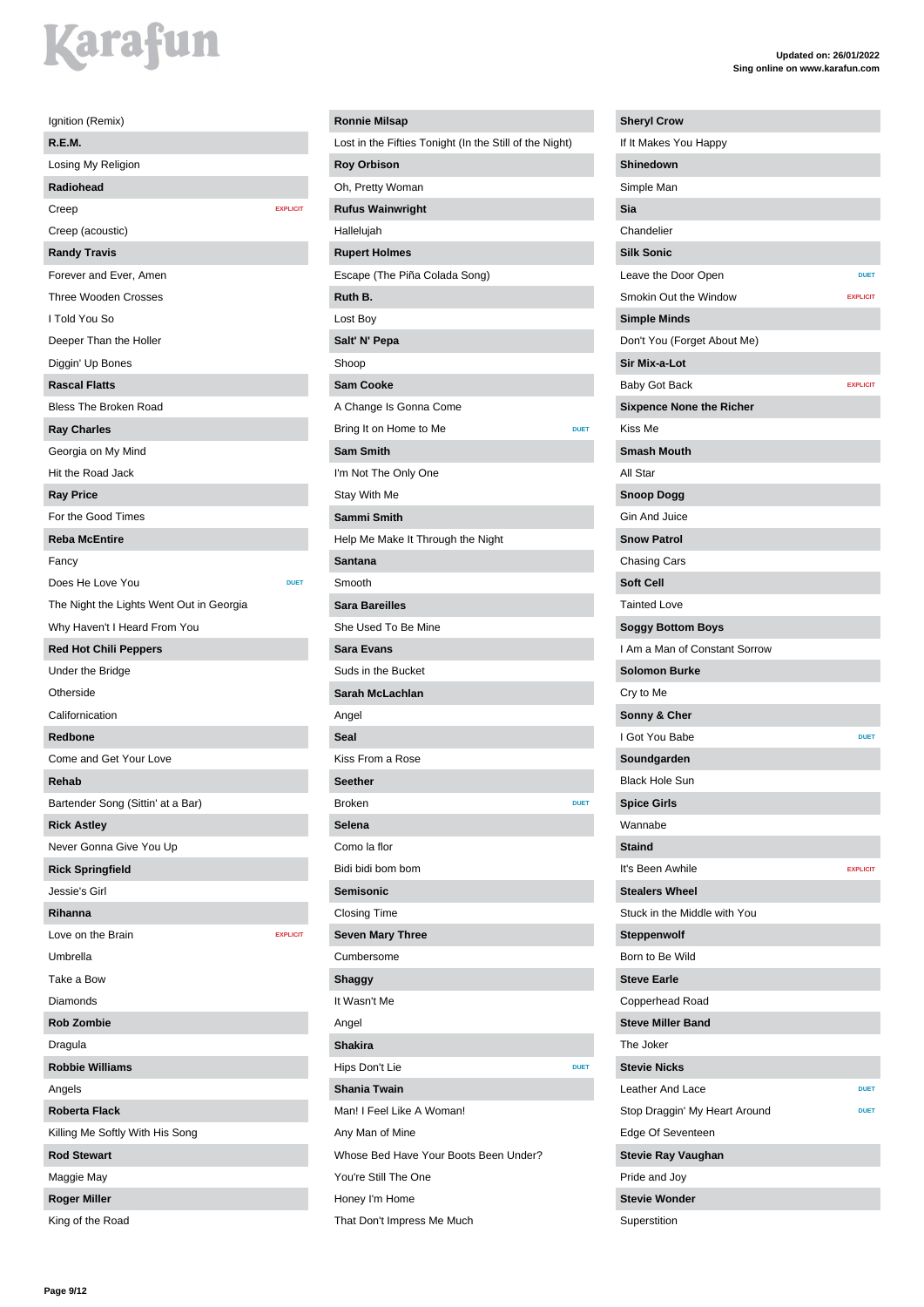| Ignition (Remix)                         |                 |
|------------------------------------------|-----------------|
| R.E.M.                                   |                 |
| Losing My Religion                       |                 |
| Radiohead                                |                 |
| Creep                                    | <b>EXPLICIT</b> |
| Creep (acoustic)                         |                 |
| <b>Randy Travis</b>                      |                 |
| Forever and Ever, Amen                   |                 |
| <b>Three Wooden Crosses</b>              |                 |
| I Told You So                            |                 |
| Deeper Than the Holler                   |                 |
| Diggin' Up Bones                         |                 |
| <b>Rascal Flatts</b>                     |                 |
| <b>Bless The Broken Road</b>             |                 |
| <b>Ray Charles</b>                       |                 |
| Georgia on My Mind                       |                 |
| Hit the Road Jack                        |                 |
| <b>Ray Price</b>                         |                 |
| For the Good Times                       |                 |
| <b>Reba McEntire</b>                     |                 |
| Fancy                                    |                 |
| Does He Love You                         | <b>DUET</b>     |
| The Night the Lights Went Out in Georgia |                 |
| Why Haven't I Heard From You             |                 |
| <b>Red Hot Chili Peppers</b>             |                 |
| Under the Bridge                         |                 |
| Otherside                                |                 |
| Californication                          |                 |
|                                          |                 |
| <b>Redbone</b>                           |                 |
| Come and Get Your Love                   |                 |
| Rehab                                    |                 |
| Bartender Song (Sittin' at a Bar)        |                 |
| <b>Rick Astley</b>                       |                 |
| Never Gonna Give You Up                  |                 |
| <b>Rick Springfield</b>                  |                 |
| Jessie's Girl                            |                 |
| Rihanna                                  |                 |
| Love on the Brain                        | <b>EXPLICIT</b> |
| Umbrella                                 |                 |
| Take a Bow                               |                 |
| Diamonds                                 |                 |
| <b>Rob Zombie</b>                        |                 |
| Dragula                                  |                 |
| <b>Robbie Williams</b>                   |                 |
| Angels                                   |                 |
| <b>Roberta Flack</b>                     |                 |
| Killing Me Softly With His Song          |                 |
| <b>Rod Stewart</b>                       |                 |
| Maggie May                               |                 |
| <b>Roger Miller</b>                      |                 |
| King of the Road                         |                 |

#### **Ronnie Milsap** Lost in the Fifties Tonight (In the Still of the Night) **Roy Orbison** Oh, Pretty Woman **Rufus Wainwright** Hallelujah **Rupert Holmes** Escape (The Piña Colada Song) **Ruth B.** Lost Boy **Salt' N' Pepa** Shoop **Sam Cooke** A Change Is Gonna Come **Bring It on Home to Me DUET Sam Smith** I'm Not The Only One Stay With Me **Sammi Smith** Help Me Make It Through the Night **Santana** Smooth **Sara Bareilles** She Used To Be Mine **Sara Evans** Suds in the Bucket **Sarah McLachlan** Kiss From a Rose **Seether Broken DUETER Selena** Como la flor Bidi bidi bom bom **Semisonic** Closing Time **Seven Mary Three** Cumbersome **Shaggy** It Wasn't Me **Shakira** Hips Don't Lie **DUET Shania Twain** Man! I Feel Like A Woman! Any Man of Mine Whose Bed Have Your Boots Been Under?

Angel **Seal**

Angel

You're Still The One Honey I'm Home

That Don't Impress Me Much

**Updated on: 26/01/2022 Sing online on www.karafun.com**

| <b>Sheryl Crow</b>              |                 |
|---------------------------------|-----------------|
| If It Makes You Happy           |                 |
| Shinedown                       |                 |
| Simple Man                      |                 |
| Sia                             |                 |
| Chandelier                      |                 |
| <b>Silk Sonic</b>               |                 |
| Leave the Door Open             | <b>DUET</b>     |
| Smokin Out the Window           | <b>EXPLICIT</b> |
| <b>Simple Minds</b>             |                 |
| Don't You (Forget About Me)     |                 |
| Sir Mix-a-Lot                   |                 |
| Baby Got Back                   | <b>EXPLICIT</b> |
| <b>Sixpence None the Richer</b> |                 |
| Kiss Me                         |                 |
| <b>Smash Mouth</b>              |                 |
| All Star                        |                 |
| <b>Snoop Dogg</b>               |                 |
| Gin And Juice                   |                 |
| <b>Snow Patrol</b>              |                 |
| Chasing Cars                    |                 |
| <b>Soft Cell</b>                |                 |
| <b>Tainted Love</b>             |                 |
| <b>Soggy Bottom Boys</b>        |                 |
| I Am a Man of Constant Sorrow   |                 |
| <b>Solomon Burke</b>            |                 |
| Cry to Me                       |                 |
| Sonny & Cher                    |                 |
| I Got You Babe                  | <b>DUET</b>     |
| Soundgarden                     |                 |
| <b>Black Hole Sun</b>           |                 |
| <b>Spice Girls</b>              |                 |
| Wannabe                         |                 |
| <b>Staind</b>                   |                 |
| It's Been Awhile                | <b>EXPLICIT</b> |
| <b>Stealers Wheel</b>           |                 |
| Stuck in the Middle with You    |                 |
| <b>Steppenwolf</b>              |                 |
| Born to Be Wild                 |                 |
| <b>Steve Earle</b>              |                 |
| Copperhead Road                 |                 |
| <b>Steve Miller Band</b>        |                 |
| The Joker                       |                 |
| <b>Stevie Nicks</b>             |                 |
| Leather And Lace                | <b>DUET</b>     |
| Stop Draggin' My Heart Around   | <b>DUET</b>     |
| Edge Of Seventeen               |                 |
| <b>Stevie Ray Vaughan</b>       |                 |
| Pride and Joy                   |                 |
| <b>Stevie Wonder</b>            |                 |
|                                 |                 |

Superstition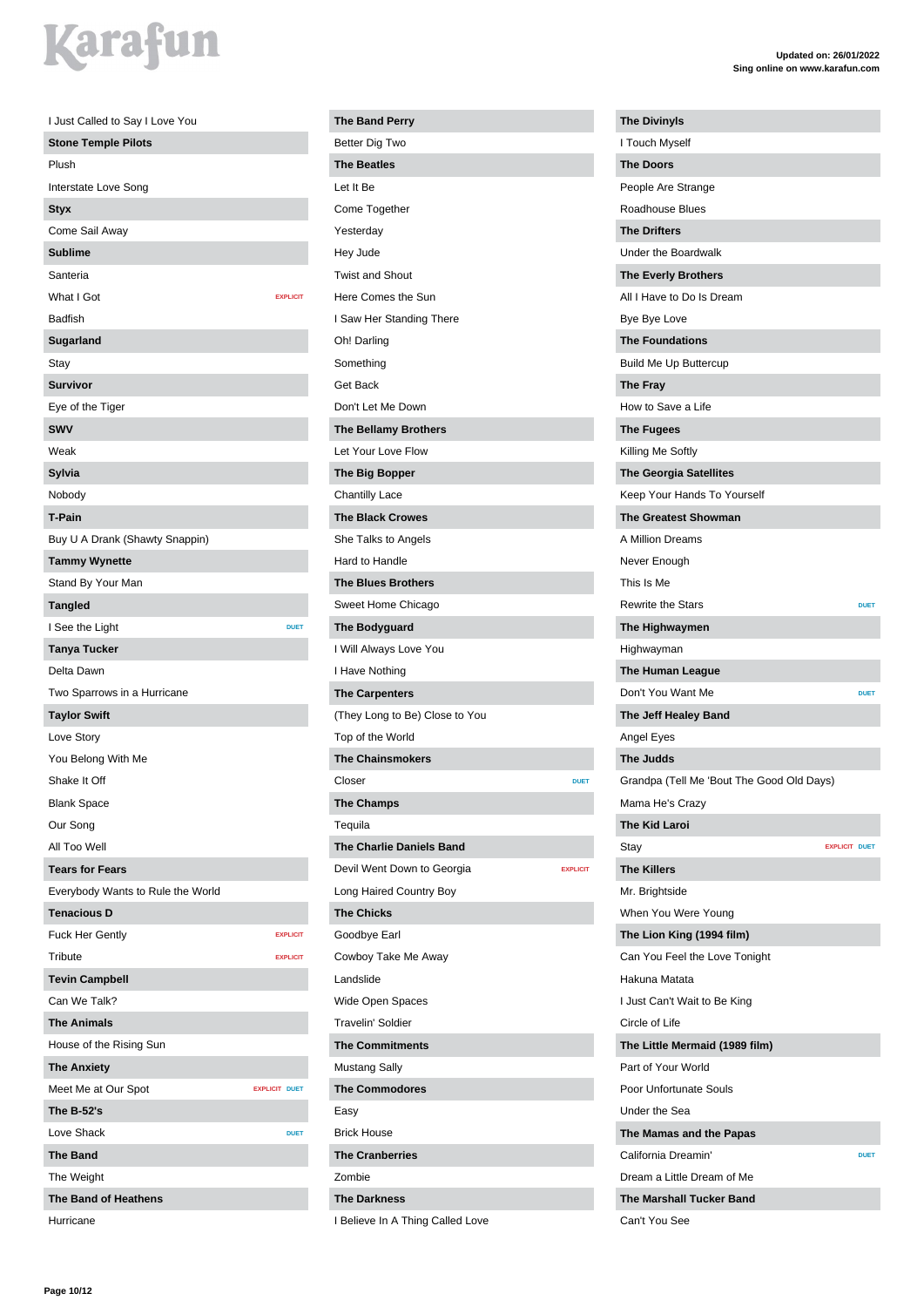| I Just Called to Say I Love You   |                      |
|-----------------------------------|----------------------|
| <b>Stone Temple Pilots</b>        |                      |
| Plush                             |                      |
| Interstate Love Song              |                      |
| <b>Styx</b>                       |                      |
| Come Sail Away                    |                      |
| <b>Sublime</b>                    |                      |
| Santeria                          |                      |
| What I Got                        | <b>EXPLICIT</b>      |
| <b>Badfish</b>                    |                      |
| Sugarland                         |                      |
| Stay                              |                      |
| <b>Survivor</b>                   |                      |
| Eye of the Tiger                  |                      |
| <b>SWV</b>                        |                      |
| Weak                              |                      |
| Sylvia                            |                      |
| Nobody                            |                      |
| <b>T-Pain</b>                     |                      |
| Buy U A Drank (Shawty Snappin)    |                      |
| <b>Tammy Wynette</b>              |                      |
| Stand By Your Man                 |                      |
| <b>Tangled</b>                    |                      |
| I See the Light                   | <b>DUET</b>          |
| <b>Tanya Tucker</b>               |                      |
| Delta Dawn                        |                      |
| Two Sparrows in a Hurricane       |                      |
| <b>Taylor Swift</b>               |                      |
| Love Story                        |                      |
| You Belong With Me                |                      |
| Shake It Off                      |                      |
| <b>Blank Space</b>                |                      |
| Our Song                          |                      |
| All Too Well                      |                      |
| <b>Tears for Fears</b>            |                      |
| Everybody Wants to Rule the World |                      |
| <b>Tenacious D</b>                |                      |
| <b>Fuck Her Gently</b>            | <b>EXPLICIT</b>      |
| Tribute                           | <b>EXPLICIT</b>      |
| <b>Tevin Campbell</b>             |                      |
| Can We Talk?                      |                      |
| <b>The Animals</b>                |                      |
| House of the Rising Sun           |                      |
| <b>The Anxiety</b>                |                      |
| Meet Me at Our Spot               | <b>EXPLICIT DUET</b> |
| The B-52's                        |                      |
| Love Shack                        | <b>DUET</b>          |
| <b>The Band</b>                   |                      |
| The Weight                        |                      |
| <b>The Band of Heathens</b>       |                      |
| Hurricane                         |                      |
|                                   |                      |

| <b>The Band Perry</b>                         |
|-----------------------------------------------|
| Better Dig Two                                |
| <b>The Beatles</b>                            |
| Let It Be                                     |
| Come Together                                 |
| Yesterday                                     |
| Hey Jude                                      |
| <b>Twist and Shout</b>                        |
| Here Comes the Sun                            |
| I Saw Her Standing There                      |
| Oh! Darling                                   |
| Something                                     |
| Get Back                                      |
| Don't Let Me Down                             |
| <b>The Bellamy Brothers</b>                   |
| Let Your Love Flow                            |
| The Big Bopper                                |
| <b>Chantilly Lace</b>                         |
| <b>The Black Crowes</b>                       |
| She Talks to Angels                           |
| Hard to Handle                                |
| <b>The Blues Brothers</b>                     |
| Sweet Home Chicago                            |
| The Bodyguard                                 |
| I Will Always Love You                        |
| I Have Nothing                                |
| <b>The Carpenters</b>                         |
| (They Long to Be) Close to You                |
| Top of the World                              |
| <b>The Chainsmokers</b>                       |
| Closer<br><b>DUET</b>                         |
| <b>The Champs</b>                             |
| Tequila                                       |
| <b>The Charlie Daniels Band</b>               |
| Devil Went Down to Georgia<br><b>EXPLICIT</b> |
| Long Haired Country Boy                       |
| <b>The Chicks</b>                             |
| Goodbye Earl                                  |
| Cowboy Take Me Away                           |
| Landslide                                     |
| Wide Open Spaces                              |
| <b>Travelin' Soldier</b>                      |
| <b>The Commitments</b>                        |
| <b>Mustang Sally</b>                          |
| <b>The Commodores</b>                         |
| Easy                                          |
| <b>Brick House</b>                            |
| <b>The Cranberries</b>                        |
| Zombie                                        |
| <b>The Darkness</b>                           |

I Believe In A Thing Called Love

| <b>The Divinyls</b>                       |             |
|-------------------------------------------|-------------|
| I Touch Myself                            |             |
| <b>The Doors</b>                          |             |
| People Are Strange                        |             |
| <b>Roadhouse Blues</b>                    |             |
| <b>The Drifters</b>                       |             |
| Under the Boardwalk                       |             |
| <b>The Everly Brothers</b>                |             |
| All I Have to Do Is Dream                 |             |
| Bye Bye Love                              |             |
| <b>The Foundations</b>                    |             |
| <b>Build Me Up Buttercup</b>              |             |
| The Fray                                  |             |
| How to Save a Life                        |             |
| <b>The Fugees</b>                         |             |
| Killing Me Softly                         |             |
| <b>The Georgia Satellites</b>             |             |
| Keep Your Hands To Yourself               |             |
| <b>The Greatest Showman</b>               |             |
| A Million Dreams                          |             |
| Never Enough                              |             |
| This Is Me                                |             |
| <b>Rewrite the Stars</b>                  | <b>DUET</b> |
| The Highwaymen                            |             |
| Highwayman                                |             |
| The Human League                          |             |
| Don't You Want Me                         | <b>DUET</b> |
| The Jeff Healey Band                      |             |
| Angel Eyes                                |             |
| The Judds                                 |             |
| Grandpa (Tell Me 'Bout The Good Old Days) |             |
| Mama He's Crazv                           |             |
| The Kid Laroi                             |             |
| <b>EXPLICIT DUET</b>                      |             |
| Stay                                      |             |
| <b>The Killers</b>                        |             |
| Mr. Brightside                            |             |
| When You Were Young                       |             |
| The Lion King (1994 film)                 |             |
| Can You Feel the Love Tonight             |             |
| Hakuna Matata                             |             |
| I Just Can't Wait to Be King              |             |
| Circle of Life                            |             |
| The Little Mermaid (1989 film)            |             |
| Part of Your World                        |             |
| Poor Unfortunate Souls                    |             |
| Under the Sea                             |             |
| The Mamas and the Papas                   |             |
| California Dreamin'                       | <b>DUET</b> |
| Dream a Little Dream of Me                |             |
| <b>The Marshall Tucker Band</b>           |             |
| Can't You See                             |             |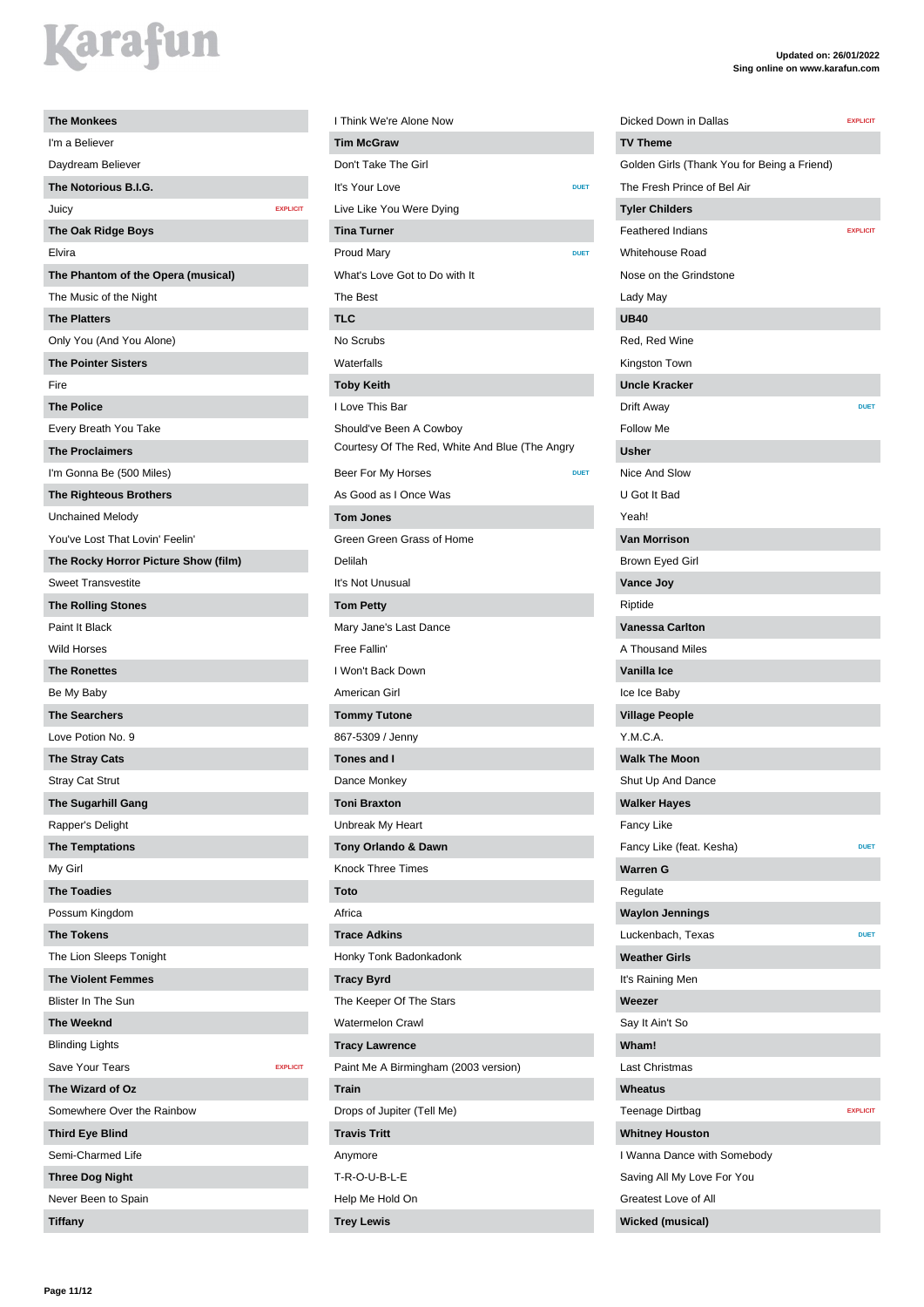| <b>The Monkees</b>                   |  |
|--------------------------------------|--|
| I'm a Believer                       |  |
| Daydream Believer                    |  |
| The Notorious B.I.G.                 |  |
| Juicy<br><b>EXPLICIT</b>             |  |
| <b>The Oak Ridge Boys</b>            |  |
| Elvira                               |  |
| The Phantom of the Opera (musical)   |  |
| The Music of the Night               |  |
| <b>The Platters</b>                  |  |
| Only You (And You Alone)             |  |
| <b>The Pointer Sisters</b>           |  |
| Fire                                 |  |
| <b>The Police</b>                    |  |
| Every Breath You Take                |  |
| <b>The Proclaimers</b>               |  |
| I'm Gonna Be (500 Miles)             |  |
| <b>The Righteous Brothers</b>        |  |
| <b>Unchained Melody</b>              |  |
| You've Lost That Lovin' Feelin'      |  |
| The Rocky Horror Picture Show (film) |  |
| <b>Sweet Transvestite</b>            |  |
| <b>The Rolling Stones</b>            |  |
| Paint It Black                       |  |
| <b>Wild Horses</b>                   |  |
| <b>The Ronettes</b>                  |  |
| Be My Baby                           |  |
| <b>The Searchers</b>                 |  |
| Love Potion No. 9                    |  |
| <b>The Stray Cats</b>                |  |
| <b>Stray Cat Strut</b>               |  |
| The Sugarhill Gang                   |  |
| Rapper's Delight                     |  |
| <b>The Temptations</b>               |  |
| My Girl                              |  |
| <b>The Toadies</b>                   |  |
| Possum Kingdom                       |  |
| <b>The Tokens</b>                    |  |
| The Lion Sleeps Tonight              |  |
| <b>The Violent Femmes</b>            |  |
| <b>Blister In The Sun</b>            |  |
| <b>The Weeknd</b>                    |  |
| <b>Blinding Lights</b>               |  |
| Save Your Tears<br><b>EXPLICIT</b>   |  |
| The Wizard of Oz                     |  |
| Somewhere Over the Rainbow           |  |
| <b>Third Eye Blind</b>               |  |
| Semi-Charmed Life                    |  |
| <b>Three Dog Night</b>               |  |
| Never Been to Spain                  |  |
| <b>Tiffany</b>                       |  |

| I Think We're Alone Now                        |
|------------------------------------------------|
| <b>Tim McGraw</b>                              |
| Don't Take The Girl                            |
| It's Your Love<br><b>DUET</b>                  |
| Live Like You Were Dying                       |
| <b>Tina Turner</b>                             |
| <b>Proud Mary</b><br><b>DUET</b>               |
| What's Love Got to Do with It                  |
| The Best                                       |
| <b>TLC</b>                                     |
| No Scrubs                                      |
| Waterfalls                                     |
| <b>Toby Keith</b>                              |
| I Love This Bar                                |
| Should've Been A Cowboy                        |
| Courtesy Of The Red, White And Blue (The Angry |
| Beer For My Horses<br><b>DUET</b>              |
| As Good as I Once Was                          |
| <b>Tom Jones</b>                               |
| Green Green Grass of Home                      |
| Delilah                                        |
| It's Not Unusual                               |
| <b>Tom Petty</b>                               |
| Mary Jane's Last Dance                         |
| Free Fallin'                                   |
| I Won't Back Down                              |
| American Girl                                  |
| <b>Tommy Tutone</b>                            |
| 867-5309 / Jenny                               |
| Tones and I                                    |
| Dance Monkey                                   |
| <b>Toni Braxton</b>                            |
| Unbreak My Heart                               |
| Tony Orlando & Dawn                            |
| <b>Knock Three Times</b>                       |
| Toto                                           |
| Africa                                         |
| <b>Trace Adkins</b>                            |
| Honky Tonk Badonkadonk                         |
| <b>Tracy Byrd</b>                              |
| The Keeper Of The Stars                        |
| <b>Watermelon Crawl</b>                        |
| <b>Tracy Lawrence</b>                          |
| Paint Me A Birmingham (2003 version)           |
| Train                                          |
| Drops of Jupiter (Tell Me)                     |
| <b>Travis Tritt</b>                            |
| Anymore                                        |
| T-R-O-U-B-L-E                                  |
| Help Me Hold On                                |
| <b>Trey Lewis</b>                              |

#### **Updated on: 26/01/2022 Sing online on www.karafun.com Dicked Down in Dallas EXPLICIT** Golden Girls (Thank You for Being a Friend) The Fresh Prince of Bel Air **Feathered Indians EXPLICIT** Whitehouse Road Nose on the Grindstone **Drift Away DIET** Brown Eyed Girl

**TV Theme**

**Tyler Childers**

Lady May **UB40**

Follow Me **Usher** Nice And Slow U Got It Bad Yeah! **Van Morrison**

**Vance Joy** Riptide

**Warren G** Regulate

**Waylon Jennings**

**Whitney Houston**

I Wanna Dance with Somebody Saving All My Love For You Greatest Love of All **Wicked (musical)**

**Weather Girls** It's Raining Men **Weezer** Say It Ain't So **Wham!** Last Christmas **Wheatus**

**Vanessa Carlton** A Thousand Miles **Vanilla Ice** Ice Ice Baby **Village People** Y.M.C.A. **Walk The Moon** Shut Up And Dance **Walker Hayes** Fancy Like

Fancy Like (feat. Kesha) **DUET** 

Luckenbach, Texas **DUE** 

Teenage Dirtbag **EXPLICIT** 

Red, Red Wine Kingston Town **Uncle Kracker**

**Page 11/12**